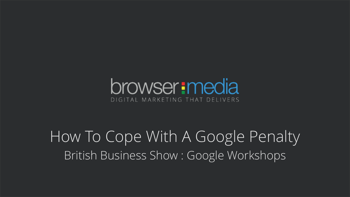#### browser: media DIGITAL MARKETING THAT DELIVERS

How To Cope With A Google Penalty British Business Show : Google Workshops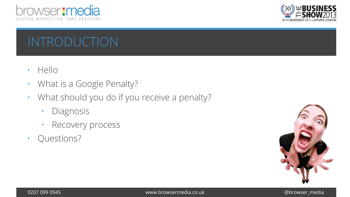



# INTRODUCTION

- Hello
- What is a Google Penalty?
- What should you do if you receive a penalty?
	- Diagnosis
	- Recovery process
- Questions?

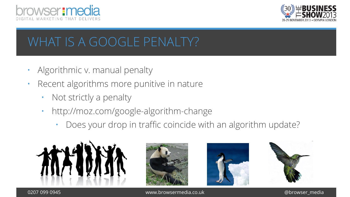



# WHAT IS A GOOGLE PENALTY?

- Algorithmic v. manual penalty
- Recent algorithms more punitive in nature
	- Not strictly a penalty
	- http://moz.com/google-algorithm-change
		- Does your drop in traffic coincide with an algorithm update?









www.browsermedia.co.uk @browser\_media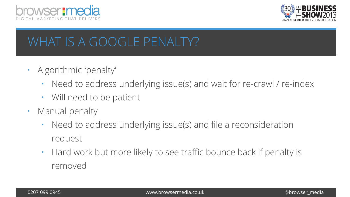



## WHAT IS A GOOGLE PENALTY?

- Algorithmic 'penalty'
	- Need to address underlying issue(s) and wait for re-crawl / re-index
	- Will need to be patient
- Manual penalty
	- Need to address underlying issue(s) and file a reconsideration request
	- Hard work but more likely to see traffic bounce back if penalty is removed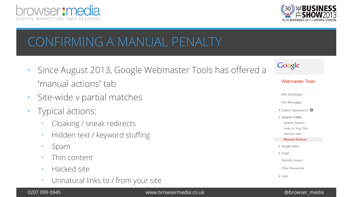



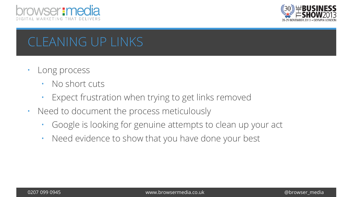



# CLEANING UP LINKS

- Long process
	- No short cuts
	- Expect frustration when trying to get links removed
- Need to document the process meticulously
	- Google is looking for genuine attempts to clean up your act
	- Need evidence to show that you have done your best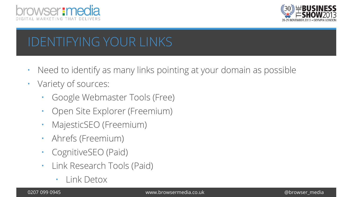



# IDENTIFYING YOUR LINKS

- Need to identify as many links pointing at your domain as possible
- Variety of sources:
	- Google Webmaster Tools (Free)
	- Open Site Explorer (Freemium)
	- MajesticSEO (Freemium)
	- Ahrefs (Freemium)
	- CognitiveSEO (Paid)
	- Link Research Tools (Paid)
		- Link Detox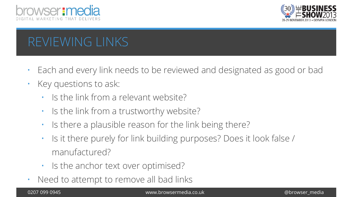



# REVIEWING LINKS

- Each and every link needs to be reviewed and designated as good or bad
- Key questions to ask:
	- Is the link from a relevant website?
	- Is the link from a trustworthy website?
	- Is there a plausible reason for the link being there?
	- Is it there purely for link building purposes? Does it look false / manufactured?
	- Is the anchor text over optimised?
- Need to attempt to remove all bad links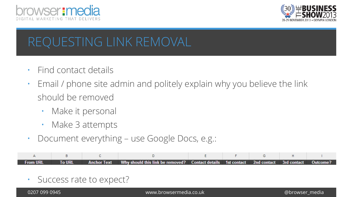



# REQUESTING LINK REMOVAL

- Find contact details
- Email / phone site admin and politely explain why you believe the link should be removed
	- Make it personal
	- Make 3 attempts
- Document everything use Google Docs, e.g.:

| <b>From URL</b> |  | To URL Anchor Text Why should this link be removed? Contact details 1st contact 2nd contact 3rd contact Outcome? |  |  |  |
|-----------------|--|------------------------------------------------------------------------------------------------------------------|--|--|--|

• Success rate to expect?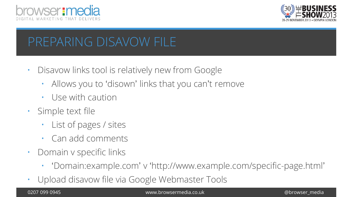



#### PREPARING DISAVOW FILE

- Disavow links tool is relatively new from Google
	- Allows you to 'disown' links that you can't remove
	- Use with caution
- Simple text file
	- List of pages / sites
	- Can add comments
- Domain v specific links
	- 'Domain:example.com' v 'http://www.example.com/specific-page.html'
- Upload disavow file via Google Webmaster Tools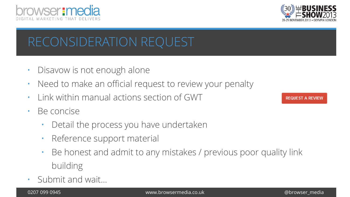



# RECONSIDERATION REQUEST

- Disavow is not enough alone
- Need to make an official request to review your penalty
- Link within manual actions section of GWT
- Be concise
	- Detail the process you have undertaken
	- Reference support material
	- Be honest and admit to any mistakes / previous poor quality link building
- Submit and wait…

REQUEST A REVIEW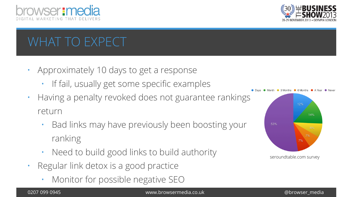



# WHAT TO EXPECT

- Approximately 10 days to get a response
	- If fail, usually get some specific examples
- Having a penalty revoked does not guarantee rankings return
	- Bad links may have previously been boosting your ranking
	- Need to build good links to build authority
- Regular link detox is a good practice
	- Monitor for possible negative SEO